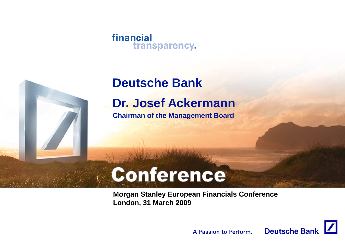## **Deutsche Bank**

**Dr. Josef Ackermann**

**Chairman of the Management Board**

# Conference

**Morgan Stanley European Financials Conference London, 31 March 2009** 

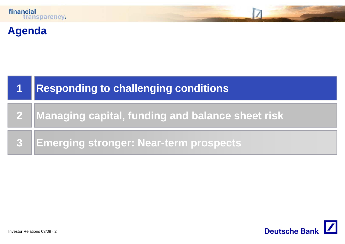

### **Agenda**



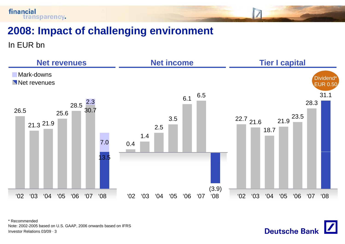

In EUR bn

financial



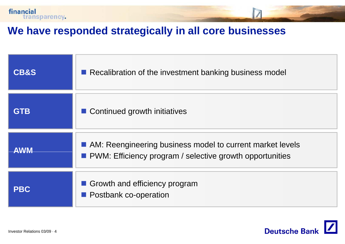

### **We have responded strategically in all core businesses**

| <b>CB&amp;S</b> | Recalibration of the investment banking business model                                                                  |
|-----------------|-------------------------------------------------------------------------------------------------------------------------|
| <b>GTB</b>      | ■ Continued growth initiatives                                                                                          |
| <b>AWM</b>      | AM: Reengineering business model to current market levels<br>• PWM: Efficiency program / selective growth opportunities |
| <b>PBC</b>      | Growth and efficiency program<br><b>Postbank co-operation</b>                                                           |

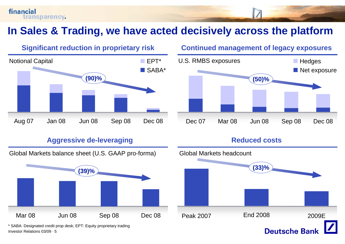## In Sales & Trading, we have acted decisively across the platform

# Notional Capital EPT $\blacksquare$  FPT\* SABA\*

#### Aggressive de-leveraging **Reduced costs**



Investor Relations 03/09 · 5\* SABA: Designated credit prop desk; EPT: Equity proprietary trading

### **Significant reduction in proprietary risk Continued management of legacy exposures**



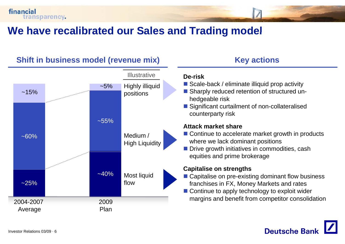### **We have recalibrated our Sales and Trading model and Trading**

#### $~15%$  $~5%$  positions **Illustrative**  $\sim\!\!55\%$  $~160\%$ Medium / High Liquidity  $\approx$  25%  $-40%$ **Executive Structure of the franchises in FX, Money Markets and rates** franchises in FX, Money Markets and rates Most liquid flow 2004-2007 Average 2009Plan

### **Shift in business model (revenue mix) Key actions in**

#### **De-risk**

- Scale-back / eliminate illiquid prop activity
- Highly illiquid Scale-back / eliminate illiquid prop activity<br>positions **Exercise Sharply reduced retention of structured un**hedgeable risk
	- Significant curtailment of non-collateralised counterparty risk

#### **Attack market share**

- Continue to accelerate market growth in products where we lack dominant positions
- $\blacksquare$  Drive growth initiatives in commodities, cash equities and prime brokerage

#### **Capitalise on strengths**

- Capitalise on pre-existing dominant flow business
- Continue to apply technology to exploit wider margins and benefit from competitor consolidation

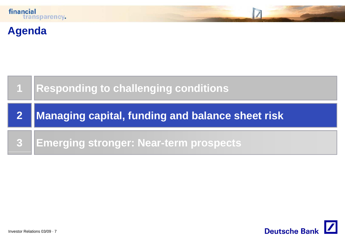

### **Agenda**



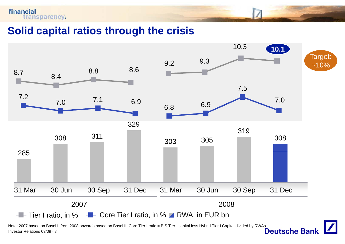**Solid capital ratios through the crisis capital**



Investor Relations 03/09 · 8Note: 2007 based on Basel I, from 2008 onwards based on Basel II; Core Tier I ratio = BIS Tier I capital less Hybrid Tier I Capital divided by RWAs<br>Investor Relations 03/09 · 8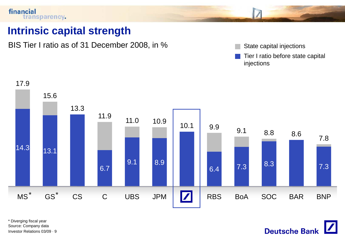### **Intrinsic capital strength**

BIS Tier I ratio as of 31 December 2008, in %

- 
- Tier I ratio before state capital injections



Investor Relations 03/09 · 9\* Diverging fiscal year Source: Company data

**Deutsche Bank**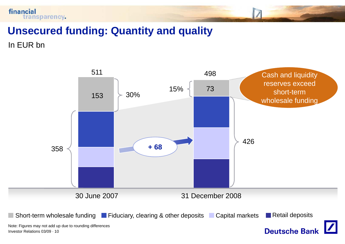

### **Unsecured funding: Quantity and quality**

In EUR bn

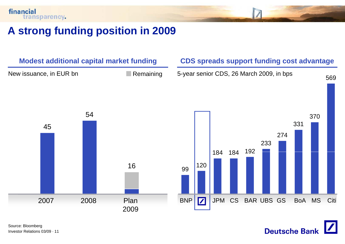### **A strong funding position in 2009**



**Deutsche Bank**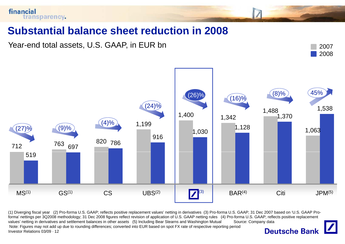

### **Substantial balance sheet reduction in 2008**

Year-end total assets, U.S. GAAP, in EUR bn 2007





(1) Diverging fiscal year (2) Pro-forma U.S. GAAP; reflects positive replacement values' netting in derivatives(3) Pro-forma U.S. GAAP; 31 Dec 2007 based on 'U.S. GAAP Proforma' nettings per 3Q2008 methodology; 31 Dec 2008 figures reflect revision of application of U.S. GAAP netting rules (4) Pro-forma U.S. GAAP; reflects positive replacement values' netting in derivatives and settlement balances in other assets (5) Including Bear Stearns and Washington Mutual Source: Company data Note: Figures may not add up due to rounding differences; converted into EUR based on spot FX rate of respective reporting period**Deutsche Bank** Investor Relations 03/09 · 12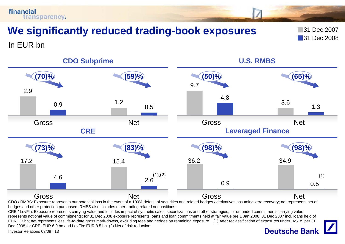**We significantly reduced trading -book exposures** 31 Dec 2007

**31 Dec 2008** 

In EUR bn

transparency.

financial



CDO / RMBS: Exposure represents our potential loss in the event of a 100% default of securities and related hedges / derivatives assuming zero recovery; net represents net of hedges and other protection purchased, RMBS also includes other trading related net positions

CRE / LevFin: Exposure represents carrying value and includes impact of synthetic sales, securitizations and other strategies; for unfunded commitments carrying value represents notional value of commitments; for 31 Dec 2008 exposure represents loans and loan commitments held at fair value pre 1 Jan 2008; 31 Dec 2007 incl. loans held of EUR 1.3 bn; net represents less life-to-date gross mark-downs, excluding fees and hedges on remaining exposure (1) After reclassification of exposures under IAS 39 per 31 Dec 2008 for CRE: EUR 6.9 bn and LevFin: EUR 8.5 bn (2) Net of risk reduction

Investor Relations 03/09 · 13

### **Deutsche Bank**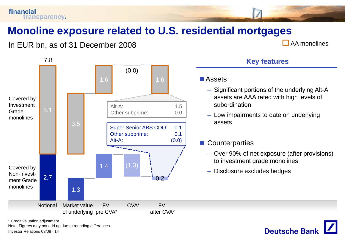

### **Monoline exposure related to U S residential mortgages U.S.**

In EUR bn, as of 31 December 2008  $\Box$  AA monolines

**Deutsche Bank** 



\* Credit valuation adjustment

Investor Relations 03/09 · 14Note: Figures may not add up due to rounding differences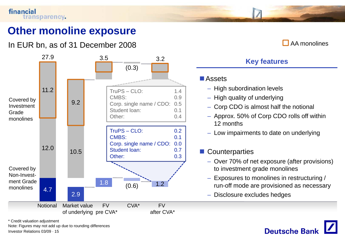Investor Relations 03/09 · 15

\* Credit valuation adjustment

Note: Figures may not add up due to rounding differences

### **Other monoline exposure**

### In EUR bn, as of 31 December 2008

#### AA monolines



#### **Key features**

#### **D**Assets

- High subordination levels
- High quality of underlying
- Corp CDO is almost half the notional
- Approx. 50% of Corp CDO rolls off within 12 months
- Low impairments to date on underlying

#### $\mathbb{R}^2$ 3 | 1

- Over 70% of net exposure (after provisions) to investment grade monolines
- Exposures to monolines in restructuring / run-off mode are provisioned as necessary
- Disclosure excludes hedges

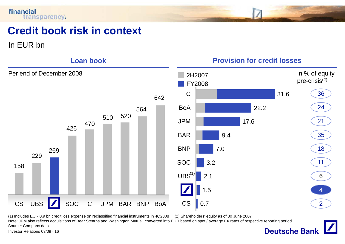### **Credit book risk in context**

In EUR bn



(1) Includes EUR 0.9 bn credit loss expense on reclassified financial instruments in 4Q2008 (2) Shareholders' equity as of 30 June 2007

Note: JPM also reflects acquisitions of Bear Stearns and Washington Mutual, converted into EUR based on spot / average FX rates of respective reporting period Source: Company data**Deutsche Bank** 

Investor Relations 03/09 · 16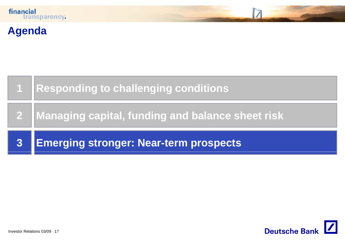

### **Agenda**



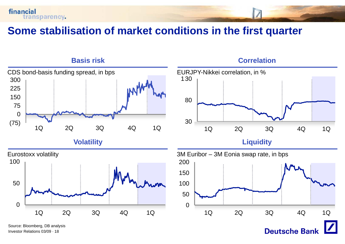



Investor Relations 03/09 · 18

financial

transparency.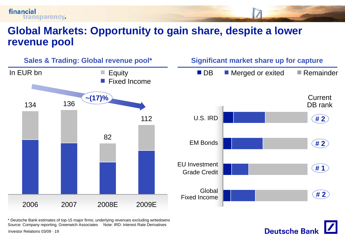



**Deutsche Bank** 

\* Deutsche Bank estimates of top-15 major firms; underlying revenues excluding writedowns Source: Company reporting, Greenwich Associates Note: IRD: Interest Rate Derivatives

Investor Relations 03/09 · 19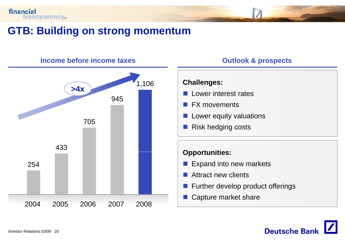

### **GTB: Building on strong momentum**



#### **Income before income taxes income**

#### **Outlook & prospects**

#### **Challenges:**

- F.  $\blacksquare$  Lower interest rates
- FX movements
- 
- F. Risk hedging costs

- **Expand into new markets**
- F. Attract new clients
- **Further develop product offerings**
- Capture market share

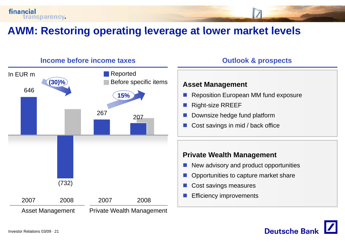

### **AWM: Restoring operating leverage at lower market levels market**



**Deutsche Ban**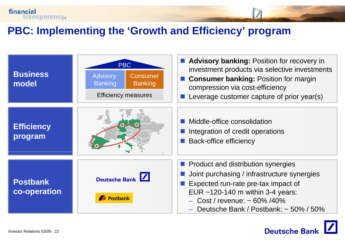

### **PBC: Implementing the Implementing 'Growth and Efficiency Growth Efficiency' program**



**Deutsche Bank**